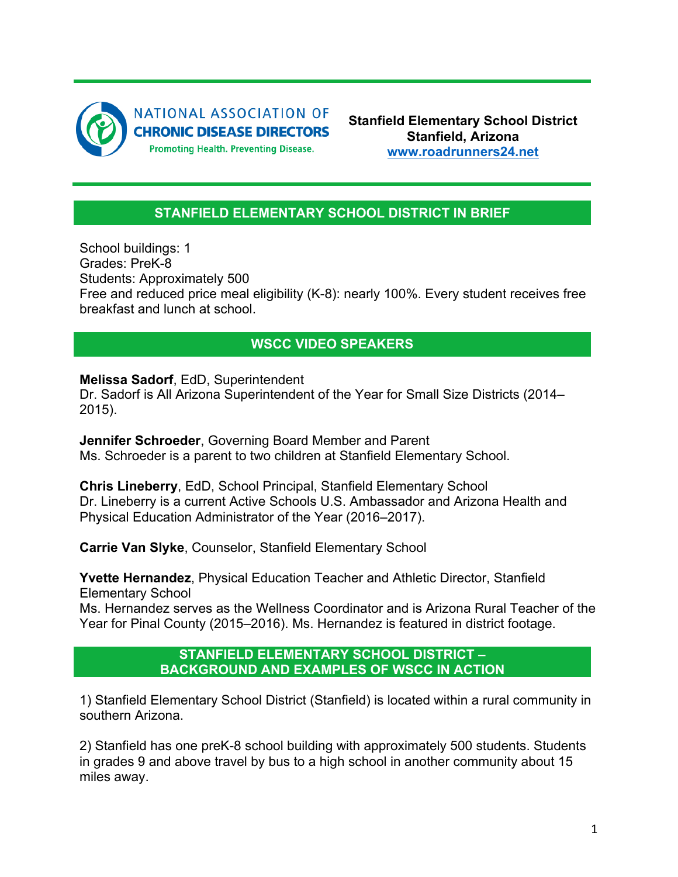

**Stanfield Elementary School District Stanfield, Arizona www.roadrunners24.net**

## **STANFIELD ELEMENTARY SCHOOL DISTRICT IN BRIEF**

School buildings: 1 Grades: PreK-8 Students: Approximately 500 Free and reduced price meal eligibility (K-8): nearly 100%. Every student receives free breakfast and lunch at school.

## **WSCC VIDEO SPEAKERS**

**Melissa Sadorf**, EdD, Superintendent

Dr. Sadorf is All Arizona Superintendent of the Year for Small Size Districts (2014– 2015).

**Jennifer Schroeder**, Governing Board Member and Parent Ms. Schroeder is a parent to two children at Stanfield Elementary School.

**Chris Lineberry**, EdD, School Principal, Stanfield Elementary School Dr. Lineberry is a current Active Schools U.S. Ambassador and Arizona Health and Physical Education Administrator of the Year (2016–2017).

**Carrie Van Slyke**, Counselor, Stanfield Elementary School

**Yvette Hernandez**, Physical Education Teacher and Athletic Director, Stanfield Elementary School

Ms. Hernandez serves as the Wellness Coordinator and is Arizona Rural Teacher of the Year for Pinal County (2015–2016). Ms. Hernandez is featured in district footage.

## **STANFIELD ELEMENTARY SCHOOL DISTRICT – BACKGROUND AND EXAMPLES OF WSCC IN ACTION**

1) Stanfield Elementary School District (Stanfield) is located within a rural community in southern Arizona.

2) Stanfield has one preK-8 school building with approximately 500 students. Students in grades 9 and above travel by bus to a high school in another community about 15 miles away.